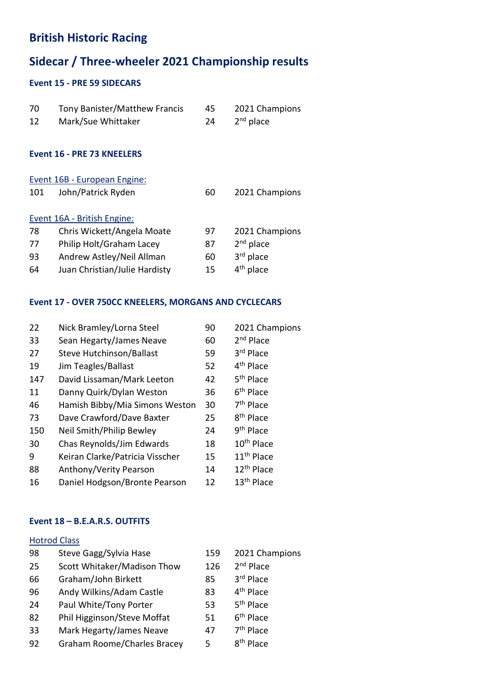## British Historic Racing

# Sidecar / Three-wheeler 2021 Championship results

### Event 15 - PRE 59 SIDECARS

| 70<br>12                     | <b>Tony Banister/Matthew Francis</b><br>Mark/Sue Whittaker | 45<br>24 | 2021 Champions<br>$2nd$ place |  |
|------------------------------|------------------------------------------------------------|----------|-------------------------------|--|
| Event 16 - PRE 73 KNEELERS   |                                                            |          |                               |  |
| Event 16B - European Engine: |                                                            |          |                               |  |
| 101                          | John/Patrick Ryden                                         | 60       | 2021 Champions                |  |
| Event 16A - British Engine:  |                                                            |          |                               |  |
| 78                           | Chris Wickett/Angela Moate                                 | 97       | 2021 Champions                |  |
| 77                           | Philip Holt/Graham Lacey                                   | 87       | $2nd$ place                   |  |
| 93                           | Andrew Astley/Neil Allman                                  | 60       | 3rd place                     |  |
| 64                           | Juan Christian/Julie Hardisty                              | 15       | 4 <sup>th</sup> place         |  |

### Event 17 - OVER 750CC KNEELERS, MORGANS AND CYCLECARS

| 22  | Nick Bramley/Lorna Steel        | 90 | 2021 Champions         |
|-----|---------------------------------|----|------------------------|
| 33  | Sean Hegarty/James Neave        | 60 | $2nd$ Place            |
| 27  | <b>Steve Hutchinson/Ballast</b> | 59 | 3rd Place              |
| 19  | Jim Teagles/Ballast             | 52 | 4 <sup>th</sup> Place  |
| 147 | David Lissaman/Mark Leeton      | 42 | 5 <sup>th</sup> Place  |
| 11  | Danny Quirk/Dylan Weston        | 36 | 6 <sup>th</sup> Place  |
| 46  | Hamish Bibby/Mia Simons Weston  | 30 | 7 <sup>th</sup> Place  |
| 73  | Dave Crawford/Dave Baxter       | 25 | 8 <sup>th</sup> Place  |
| 150 | Neil Smith/Philip Bewley        | 24 | 9 <sup>th</sup> Place  |
| 30  | Chas Reynolds/Jim Edwards       | 18 | 10 <sup>th</sup> Place |
| 9   | Keiran Clarke/Patricia Visscher | 15 | 11 <sup>th</sup> Place |
| 88  | Anthony/Verity Pearson          | 14 | 12 <sup>th</sup> Place |
| 16  | Daniel Hodgson/Bronte Pearson   | 12 | 13 <sup>th</sup> Place |
|     |                                 |    |                        |

#### Event 18 – B.E.A.R.S. OUTFITS

#### Hotrod Class

| 98 | Steve Gagg/Sylvia Hase      | 159 | 2021 Champions        |
|----|-----------------------------|-----|-----------------------|
| 25 | Scott Whitaker/Madison Thow | 126 | 2 <sup>nd</sup> Place |
| 66 | Graham/John Birkett         | 85  | 3rd Place             |
| 96 | Andy Wilkins/Adam Castle    | 83  | 4 <sup>th</sup> Place |
| 24 | Paul White/Tony Porter      | 53  | 5 <sup>th</sup> Place |
| 82 | Phil Higginson/Steve Moffat | 51  | 6 <sup>th</sup> Place |
| 33 | Mark Hegarty/James Neave    | 47  | $7th$ Place           |
| 92 | Graham Roome/Charles Bracey | 5   | 8 <sup>th</sup> Place |